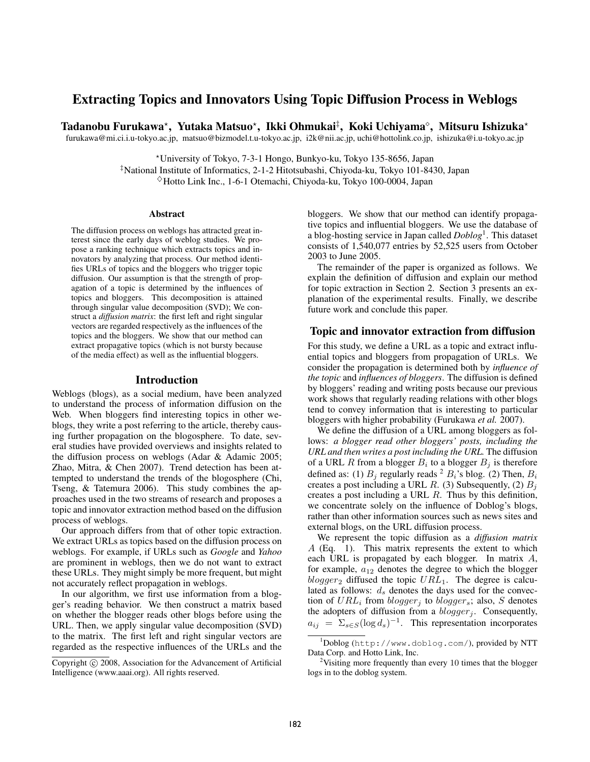# Extracting Topics and Innovators Using Topic Diffusion Process in Weblogs

Tadanobu Furukawa\*, Yutaka Matsuo\*, Ikki Ohmukai‡, Koki Uchiyama°, Mitsuru Ishizuka\* furukawa@mi.ci.i.u-tokyo.ac.jp, matsuo@bizmodel.t.u-tokyo.ac.jp, i2k@nii.ac.jp, uchi@hottolink.co.jp, ishizuka@i.u-tokyo.ac.jp

?University of Tokyo, 7-3-1 Hongo, Bunkyo-ku, Tokyo 135-8656, Japan

‡National Institute of Informatics, 2-1-2 Hitotsubashi, Chiyoda-ku, Tokyo 101-8430, Japan  $\Diamond$ Hotto Link Inc., 1-6-1 Otemachi, Chiyoda-ku, Tokyo 100-0004, Japan

#### Abstract

The diffusion process on weblogs has attracted great interest since the early days of weblog studies. We propose a ranking technique which extracts topics and innovators by analyzing that process. Our method identifies URLs of topics and the bloggers who trigger topic diffusion. Our assumption is that the strength of propagation of a topic is determined by the influences of topics and bloggers. This decomposition is attained through singular value decomposition (SVD); We construct a *diffusion matrix*: the first left and right singular vectors are regarded respectively as the influences of the topics and the bloggers. We show that our method can extract propagative topics (which is not bursty because of the media effect) as well as the influential bloggers.

#### Introduction

Weblogs (blogs), as a social medium, have been analyzed to understand the process of information diffusion on the Web. When bloggers find interesting topics in other weblogs, they write a post referring to the article, thereby causing further propagation on the blogosphere. To date, several studies have provided overviews and insights related to the diffusion process on weblogs (Adar & Adamic 2005; Zhao, Mitra, & Chen 2007). Trend detection has been attempted to understand the trends of the blogosphere (Chi, Tseng, & Tatemura 2006). This study combines the approaches used in the two streams of research and proposes a topic and innovator extraction method based on the diffusion process of weblogs.

Our approach differs from that of other topic extraction. We extract URLs as topics based on the diffusion process on weblogs. For example, if URLs such as *Google* and *Yahoo* are prominent in weblogs, then we do not want to extract these URLs. They might simply be more frequent, but might not accurately reflect propagation in weblogs.

In our algorithm, we first use information from a blogger's reading behavior. We then construct a matrix based on whether the blogger reads other blogs before using the URL. Then, we apply singular value decomposition (SVD) to the matrix. The first left and right singular vectors are regarded as the respective influences of the URLs and the

bloggers. We show that our method can identify propagative topics and influential bloggers. We use the database of a blog-hosting service in Japan called *Doblog*<sup>1</sup> . This dataset consists of 1,540,077 entries by 52,525 users from October 2003 to June 2005.

The remainder of the paper is organized as follows. We explain the definition of diffusion and explain our method for topic extraction in Section 2. Section 3 presents an explanation of the experimental results. Finally, we describe future work and conclude this paper.

# Topic and innovator extraction from diffusion

For this study, we define a URL as a topic and extract influential topics and bloggers from propagation of URLs. We consider the propagation is determined both by *influence of the topic* and *influences of bloggers*. The diffusion is defined by bloggers' reading and writing posts because our previous work shows that regularly reading relations with other blogs tend to convey information that is interesting to particular bloggers with higher probability (Furukawa *et al.* 2007).

We define the diffusion of a URL among bloggers as follows: *a blogger read other bloggers' posts, including the URL and then writes a post including the URL.* The diffusion of a URL R from a blogger  $B_i$  to a blogger  $B_j$  is therefore defined as: (1)  $B_i$  regularly reads <sup>2</sup>  $B_i$ 's blog. (2) Then,  $B_i$ creates a post including a URL R. (3) Subsequently, (2)  $B_i$ creates a post including a URL R. Thus by this definition, we concentrate solely on the influence of Doblog's blogs, rather than other information sources such as news sites and external blogs, on the URL diffusion process.

We represent the topic diffusion as a *diffusion matrix* A (Eq. 1). This matrix represents the extent to which each URL is propagated by each blogger. In matrix A, for example,  $a_{12}$  denotes the degree to which the blogger  $blogger_2$  diffused the topic  $URL_1$ . The degree is calculated as follows:  $d_s$  denotes the days used for the convection of  $URL_i$  from  $blogger_j$  to  $blogger_s$ ; also, S denotes the adopters of diffusion from a  $blogger_j$ . Consequently,  $a_{ij} = \sum_{s \in S} (\log d_s)^{-1}$ . This representation incorporates

Copyright (c) 2008, Association for the Advancement of Artificial Intelligence (www.aaai.org). All rights reserved.

<sup>1</sup>Doblog (http://www.doblog.com/), provided by NTT Data Corp. and Hotto Link, Inc.

<sup>&</sup>lt;sup>2</sup>Visiting more frequently than every 10 times that the blogger logs in to the doblog system.